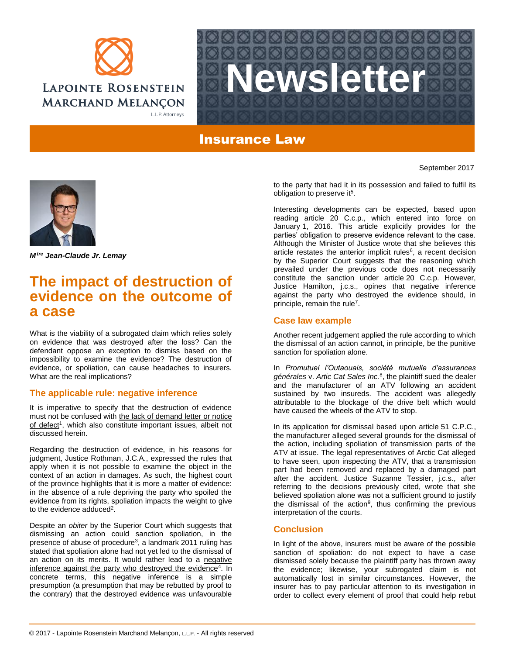



## Insurance Law



*Mtre Jean-Claude Jr. Lemay*

# **The impact of destruction of evidence on the outcome of a case**

What is the viability of a subrogated claim which relies solely on evidence that was destroyed after the loss? Can the defendant oppose an exception to dismiss based on the impossibility to examine the evidence? The destruction of evidence, or spoliation, can cause headaches to insurers. What are the real implications?

#### **The applicable rule: negative inference**

It is imperative to specify that the destruction of evidence must not be confused with the lack of demand letter or notice of defect<sup>1</sup>, which also constitute important issues, albeit not discussed herein.

Regarding the destruction of evidence, in his reasons for judgment, Justice Rothman, J.C.A., expressed the rules that apply when it is not possible to examine the object in the context of an action in damages. As such, the highest court of the province highlights that it is more a matter of evidence: in the absence of a rule depriving the party who spoiled the evidence from its rights, spoliation impacts the weight to give to the evidence adduced<sup>2</sup>.

Despite an *obiter* by the Superior Court which suggests that dismissing an action could sanction spoliation, in the presence of abuse of procedure<sup>3</sup>, a landmark 2011 ruling has stated that spoliation alone had not yet led to the dismissal of an action on its merits. It would rather lead to a negative inference against the party who destroyed the evidence<sup>4</sup>. In concrete terms, this negative inference is a simple presumption (a presumption that may be rebutted by proof to the contrary) that the destroyed evidence was unfavourable

to the party that had it in its possession and failed to fulfil its obligation to preserve it<sup>5</sup>.

September 2017

Interesting developments can be expected, based upon reading article 20 C.c.p., which entered into force on January 1, 2016. This article explicitly provides for the parties' obligation to preserve evidence relevant to the case. Although the Minister of Justice wrote that she believes this article restates the anterior implicit rules<sup>6</sup>, a recent decision by the Superior Court suggests that the reasoning which prevailed under the previous code does not necessarily constitute the sanction under article 20 C.c.p. However, Justice Hamilton, j.c.s., opines that negative inference against the party who destroyed the evidence should, in principle, remain the rule<sup>7</sup>.

### **Case law example**

Another recent judgement applied the rule according to which the dismissal of an action cannot, in principle, be the punitive sanction for spoliation alone.

In *Promutuel l'Outaouais, société mutuelle d'assurances générales* v. *Artic Cat Sales Inc.*<sup>8</sup> , the plaintiff sued the dealer and the manufacturer of an ATV following an accident sustained by two insureds. The accident was allegedly attributable to the blockage of the drive belt which would have caused the wheels of the ATV to stop.

In its application for dismissal based upon article 51 C.P.C., the manufacturer alleged several grounds for the dismissal of the action, including spoliation of transmission parts of the ATV at issue. The legal representatives of Arctic Cat alleged to have seen, upon inspecting the ATV, that a transmission part had been removed and replaced by a damaged part after the accident. Justice Suzanne Tessier, j.c.s., after referring to the decisions previously cited, wrote that she believed spoliation alone was not a sufficient ground to justify the dismissal of the action<sup>9</sup>, thus confirming the previous interpretation of the courts.

### **Conclusion**

In light of the above, insurers must be aware of the possible sanction of spoliation: do not expect to have a case dismissed solely because the plaintiff party has thrown away the evidence; likewise, your subrogated claim is not automatically lost in similar circumstances. However, the insurer has to pay particular attention to its investigation in order to collect every element of proof that could help rebut